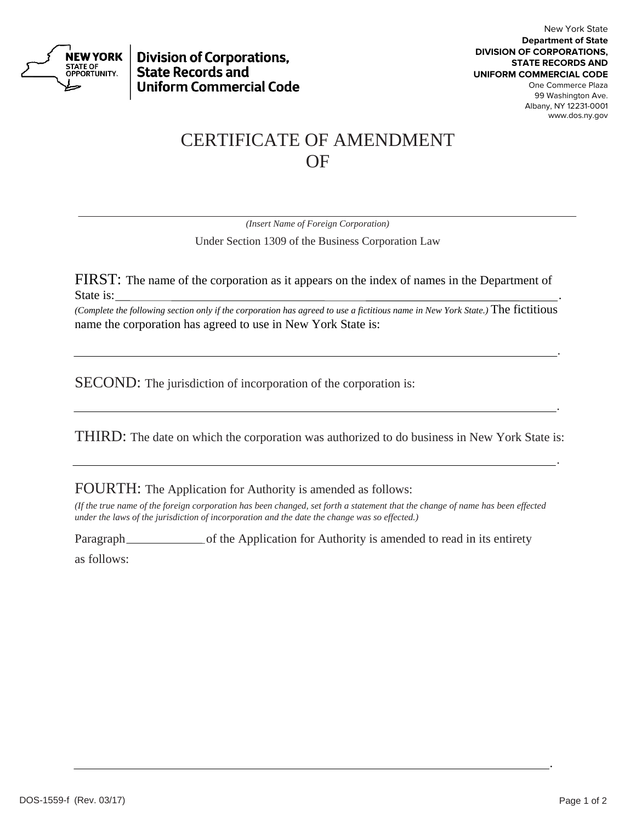

**Division of Corporations, State Records and Uniform Commercial Code** 

## CERTIFICATE OF AMENDMENT OF

*(Insert Name of Foreign Corporation)*

Under Section 1309 of the Business Corporation Law

FIRST: The name of the corporation as it appears on the index of names in the Department of State is: .

*(Complete the following section only if the corporation has agreed to use a fictitious name in New York State.)* The fictitious name the corporation has agreed to use in New York State is:

<u>. Andre Sterne and Sterne and Sterne and Sterne and Sterne and Sterne and Sterne and Sterne and Sterne and St</u>

SECOND: The jurisdiction of incorporation of the corporation is:

THIRD: The date on which the corporation was authorized to do business in New York State is:

<u>. Andre de la contrada de la contrada de la contrada de la contrada de la contrada de la contrada de la contra</u>

<u>. Andre de la contrada de la contrada de la contrada de la contrada de la contrada de la contrada de la contra</u>

FOURTH: The Application for Authority is amended as follows:

*(If the true name of the foreign corporation has been changed, set forth a statement that the change of name has been effected under the laws of the jurisdiction of incorporation and the date the change was so effected.)*

.

Paragraph of the Application for Authority is amended to read in its entirety

as follows: